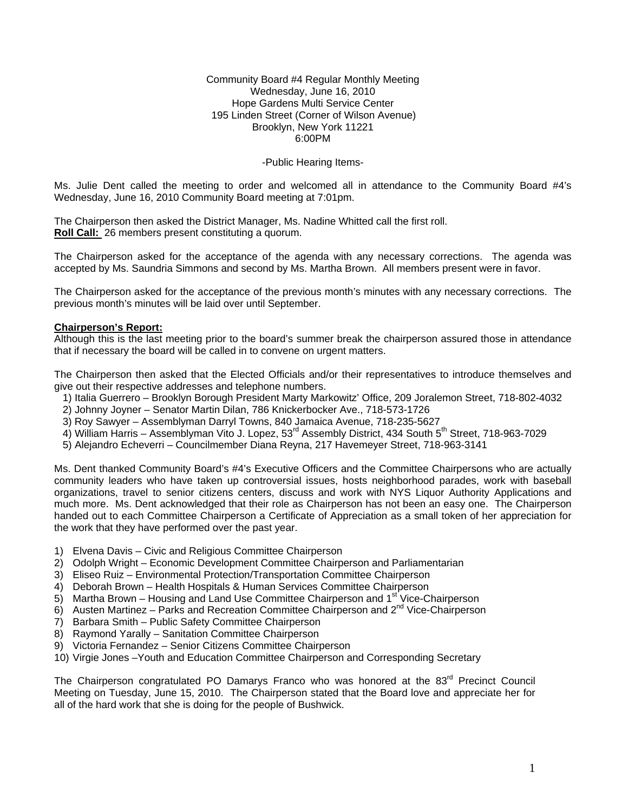#### Community Board #4 Regular Monthly Meeting Wednesday, June 16, 2010 Hope Gardens Multi Service Center 195 Linden Street (Corner of Wilson Avenue) Brooklyn, New York 11221 6:00PM

### -Public Hearing Items-

Ms. Julie Dent called the meeting to order and welcomed all in attendance to the Community Board #4's Wednesday, June 16, 2010 Community Board meeting at 7:01pm.

The Chairperson then asked the District Manager, Ms. Nadine Whitted call the first roll. **Roll Call:** 26 members present constituting a quorum.

The Chairperson asked for the acceptance of the agenda with any necessary corrections. The agenda was accepted by Ms. Saundria Simmons and second by Ms. Martha Brown. All members present were in favor.

The Chairperson asked for the acceptance of the previous month's minutes with any necessary corrections. The previous month's minutes will be laid over until September.

### **Chairperson's Report:**

Although this is the last meeting prior to the board's summer break the chairperson assured those in attendance that if necessary the board will be called in to convene on urgent matters.

The Chairperson then asked that the Elected Officials and/or their representatives to introduce themselves and give out their respective addresses and telephone numbers.

- 1) Italia Guerrero Brooklyn Borough President Marty Markowitz' Office, 209 Joralemon Street, 718-802-4032
- 2) Johnny Joyner Senator Martin Dilan, 786 Knickerbocker Ave., 718-573-1726
- 3) Roy Sawyer Assemblyman Darryl Towns, 840 Jamaica Avenue, 718-235-5627
- 4) William Harris Assemblyman Vito J. Lopez, 53<sup>rd</sup> Assembly District, 434 South 5<sup>th</sup> Street, 718-963-7029
- 5) Alejandro Echeverri Councilmember Diana Reyna, 217 Havemeyer Street, 718-963-3141

Ms. Dent thanked Community Board's #4's Executive Officers and the Committee Chairpersons who are actually community leaders who have taken up controversial issues, hosts neighborhood parades, work with baseball organizations, travel to senior citizens centers, discuss and work with NYS Liquor Authority Applications and much more. Ms. Dent acknowledged that their role as Chairperson has not been an easy one. The Chairperson handed out to each Committee Chairperson a Certificate of Appreciation as a small token of her appreciation for the work that they have performed over the past year.

- 1) Elvena Davis Civic and Religious Committee Chairperson
- 2) Odolph Wright Economic Development Committee Chairperson and Parliamentarian
- 3) Eliseo Ruiz Environmental Protection/Transportation Committee Chairperson
- 4) Deborah Brown Health Hospitals & Human Services Committee Chairperson
- 5) Martha Brown Housing and Land Use Committee Chairperson and  $1<sup>st</sup>$  Vice-Chairperson
- 6) Austen Martinez Parks and Recreation Committee Chairperson and  $2^{nd}$  Vice-Chairperson
- 7) Barbara Smith Public Safety Committee Chairperson
- 8) Raymond Yarally Sanitation Committee Chairperson
- 9) Victoria Fernandez Senior Citizens Committee Chairperson
- 10) Virgie Jones –Youth and Education Committee Chairperson and Corresponding Secretary

The Chairperson congratulated PO Damarys Franco who was honored at the 83<sup>rd</sup> Precinct Council Meeting on Tuesday, June 15, 2010. The Chairperson stated that the Board love and appreciate her for all of the hard work that she is doing for the people of Bushwick.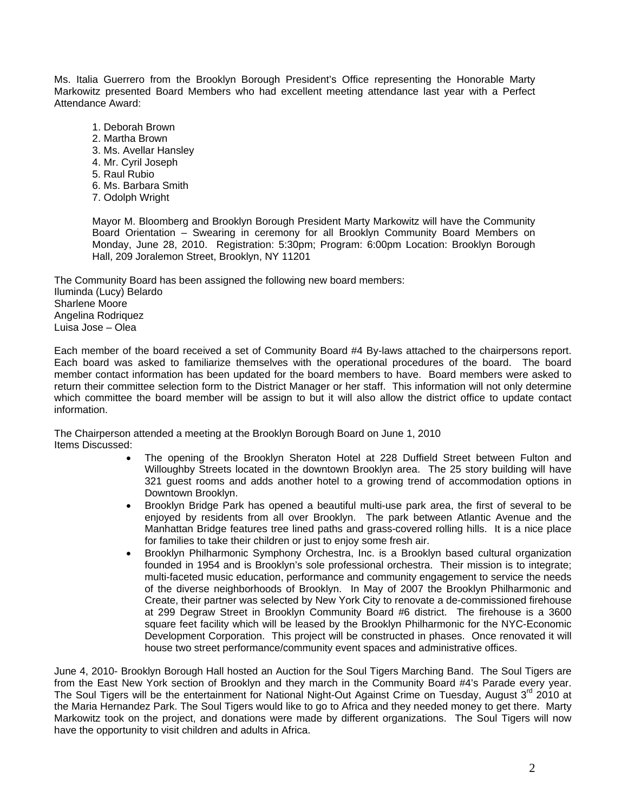Ms. Italia Guerrero from the Brooklyn Borough President's Office representing the Honorable Marty Markowitz presented Board Members who had excellent meeting attendance last year with a Perfect Attendance Award:

- 1. Deborah Brown
- 2. Martha Brown
- 3. Ms. Avellar Hansley
- 4. Mr. Cyril Joseph
- 5. Raul Rubio
- 6. Ms. Barbara Smith
- 7. Odolph Wright

Mayor M. Bloomberg and Brooklyn Borough President Marty Markowitz will have the Community Board Orientation – Swearing in ceremony for all Brooklyn Community Board Members on Monday, June 28, 2010. Registration: 5:30pm; Program: 6:00pm Location: Brooklyn Borough Hall, 209 Joralemon Street, Brooklyn, NY 11201

The Community Board has been assigned the following new board members: Iluminda (Lucy) Belardo Sharlene Moore Angelina Rodriquez Luisa Jose – Olea

Each member of the board received a set of Community Board #4 By-laws attached to the chairpersons report. Each board was asked to familiarize themselves with the operational procedures of the board. The board member contact information has been updated for the board members to have. Board members were asked to return their committee selection form to the District Manager or her staff. This information will not only determine which committee the board member will be assign to but it will also allow the district office to update contact information.

The Chairperson attended a meeting at the Brooklyn Borough Board on June 1, 2010 Items Discussed:

- The opening of the Brooklyn Sheraton Hotel at 228 Duffield Street between Fulton and Willoughby Streets located in the downtown Brooklyn area. The 25 story building will have 321 guest rooms and adds another hotel to a growing trend of accommodation options in Downtown Brooklyn.
- Brooklyn Bridge Park has opened a beautiful multi-use park area, the first of several to be enjoyed by residents from all over Brooklyn. The park between Atlantic Avenue and the Manhattan Bridge features tree lined paths and grass-covered rolling hills. It is a nice place for families to take their children or just to enjoy some fresh air.
- Brooklyn Philharmonic Symphony Orchestra, Inc. is a Brooklyn based cultural organization founded in 1954 and is Brooklyn's sole professional orchestra. Their mission is to integrate; multi-faceted music education, performance and community engagement to service the needs of the diverse neighborhoods of Brooklyn. In May of 2007 the Brooklyn Philharmonic and Create, their partner was selected by New York City to renovate a de-commissioned firehouse at 299 Degraw Street in Brooklyn Community Board #6 district. The firehouse is a 3600 square feet facility which will be leased by the Brooklyn Philharmonic for the NYC-Economic Development Corporation. This project will be constructed in phases. Once renovated it will house two street performance/community event spaces and administrative offices.

June 4, 2010- Brooklyn Borough Hall hosted an Auction for the Soul Tigers Marching Band. The Soul Tigers are from the East New York section of Brooklyn and they march in the Community Board #4's Parade every year. The Soul Tigers will be the entertainment for National Night-Out Against Crime on Tuesday, August 3<sup>rd</sup> 2010 at the Maria Hernandez Park. The Soul Tigers would like to go to Africa and they needed money to get there. Marty Markowitz took on the project, and donations were made by different organizations. The Soul Tigers will now have the opportunity to visit children and adults in Africa.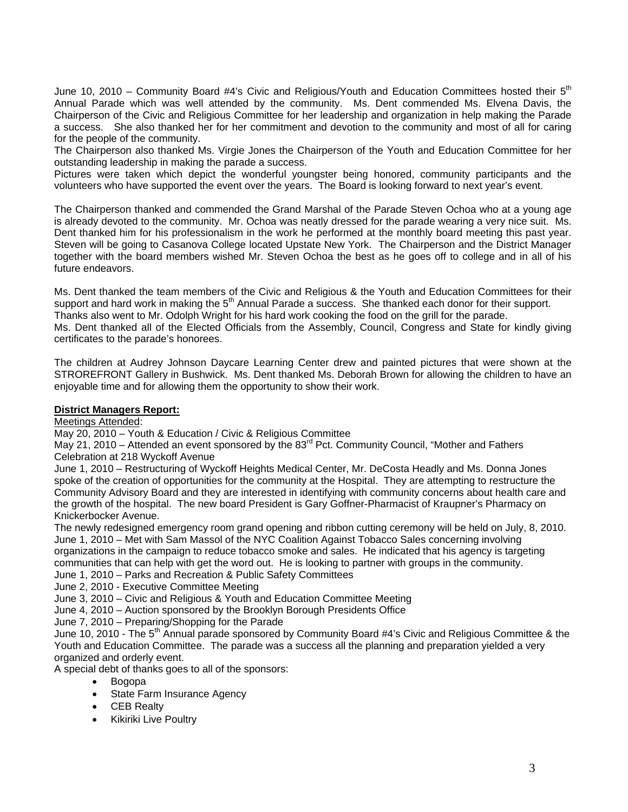June 10, 2010 – Community Board #4's Civic and Religious/Youth and Education Committees hosted their 5<sup>th</sup> Annual Parade which was well attended by the community. Ms. Dent commended Ms. Elvena Davis, the Chairperson of the Civic and Religious Committee for her leadership and organization in help making the Parade a success. She also thanked her for her commitment and devotion to the community and most of all for caring for the people of the community.

The Chairperson also thanked Ms. Virgie Jones the Chairperson of the Youth and Education Committee for her outstanding leadership in making the parade a success.

Pictures were taken which depict the wonderful youngster being honored, community participants and the volunteers who have supported the event over the years. The Board is looking forward to next year's event.

The Chairperson thanked and commended the Grand Marshal of the Parade Steven Ochoa who at a young age is already devoted to the community. Mr. Ochoa was neatly dressed for the parade wearing a very nice suit. Ms. Dent thanked him for his professionalism in the work he performed at the monthly board meeting this past year. Steven will be going to Casanova College located Upstate New York. The Chairperson and the District Manager together with the board members wished Mr. Steven Ochoa the best as he goes off to college and in all of his future endeavors.

Ms. Dent thanked the team members of the Civic and Religious & the Youth and Education Committees for their support and hard work in making the 5<sup>th</sup> Annual Parade a success. She thanked each donor for their support. Thanks also went to Mr. Odolph Wright for his hard work cooking the food on the grill for the parade. Ms. Dent thanked all of the Elected Officials from the Assembly, Council, Congress and State for kindly giving

certificates to the parade's honorees.

The children at Audrey Johnson Daycare Learning Center drew and painted pictures that were shown at the STROREFRONT Gallery in Bushwick. Ms. Dent thanked Ms. Deborah Brown for allowing the children to have an enjoyable time and for allowing them the opportunity to show their work.

# **District Managers Report:**

### Meetings Attended:

May 20, 2010 – Youth & Education / Civic & Religious Committee

May 21, 2010 – Attended an event sponsored by the 83<sup>rd</sup> Pct. Community Council, "Mother and Fathers" Celebration at 218 Wyckoff Avenue

June 1, 2010 – Restructuring of Wyckoff Heights Medical Center, Mr. DeCosta Headly and Ms. Donna Jones spoke of the creation of opportunities for the community at the Hospital. They are attempting to restructure the Community Advisory Board and they are interested in identifying with community concerns about health care and the growth of the hospital. The new board President is Gary Goffner-Pharmacist of Kraupner's Pharmacy on Knickerbocker Avenue.

The newly redesigned emergency room grand opening and ribbon cutting ceremony will be held on July, 8, 2010. June 1, 2010 – Met with Sam Massol of the NYC Coalition Against Tobacco Sales concerning involving organizations in the campaign to reduce tobacco smoke and sales. He indicated that his agency is targeting communities that can help with get the word out. He is looking to partner with groups in the community.

June 1, 2010 – Parks and Recreation & Public Safety Committees

June 2, 2010 - Executive Committee Meeting

June 3, 2010 – Civic and Religious & Youth and Education Committee Meeting

June 4, 2010 – Auction sponsored by the Brooklyn Borough Presidents Office

June 7, 2010 – Preparing/Shopping for the Parade

June 10, 2010 - The 5<sup>th</sup> Annual parade sponsored by Community Board #4's Civic and Religious Committee & the Youth and Education Committee. The parade was a success all the planning and preparation yielded a very organized and orderly event.

A special debt of thanks goes to all of the sponsors:

- Bogopa
- State Farm Insurance Agency
- CEB Realty
- Kikiriki Live Poultry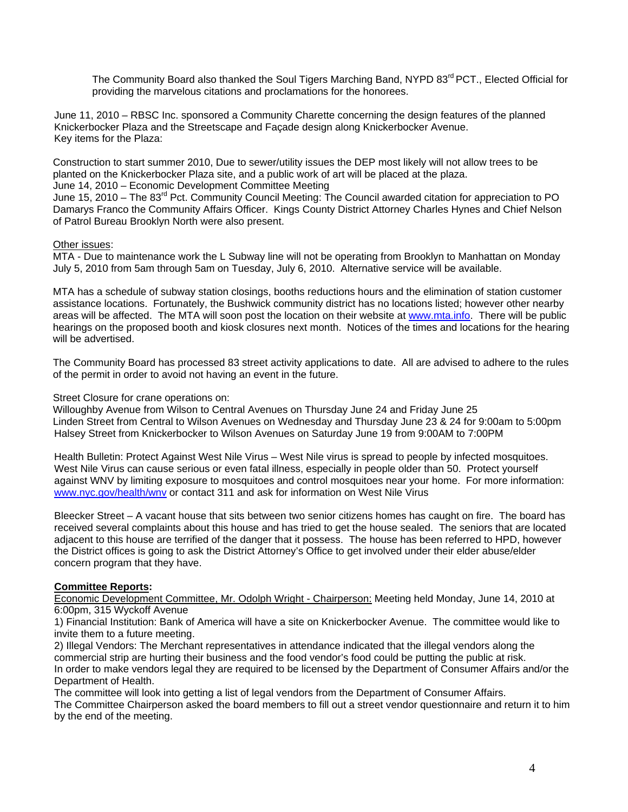The Community Board also thanked the Soul Tigers Marching Band, NYPD 83<sup>rd</sup> PCT., Elected Official for providing the marvelous citations and proclamations for the honorees.

June 11, 2010 – RBSC Inc. sponsored a Community Charette concerning the design features of the planned Knickerbocker Plaza and the Streetscape and Façade design along Knickerbocker Avenue. Key items for the Plaza:

Construction to start summer 2010, Due to sewer/utility issues the DEP most likely will not allow trees to be planted on the Knickerbocker Plaza site, and a public work of art will be placed at the plaza.

June 14, 2010 – Economic Development Committee Meeting

June 15, 2010 – The 83<sup>rd</sup> Pct. Community Council Meeting: The Council awarded citation for appreciation to PO Damarys Franco the Community Affairs Officer. Kings County District Attorney Charles Hynes and Chief Nelson of Patrol Bureau Brooklyn North were also present.

# Other issues:

MTA - Due to maintenance work the L Subway line will not be operating from Brooklyn to Manhattan on Monday July 5, 2010 from 5am through 5am on Tuesday, July 6, 2010. Alternative service will be available.

MTA has a schedule of subway station closings, booths reductions hours and the elimination of station customer assistance locations. Fortunately, the Bushwick community district has no locations listed; however other nearby areas will be affected. The MTA will soon post the location on their website at www.mta.info. There will be public hearings on the proposed booth and kiosk closures next month. Notices of the times and locations for the hearing will be advertised.

The Community Board has processed 83 street activity applications to date. All are advised to adhere to the rules of the permit in order to avoid not having an event in the future.

### Street Closure for crane operations on:

Willoughby Avenue from Wilson to Central Avenues on Thursday June 24 and Friday June 25 Linden Street from Central to Wilson Avenues on Wednesday and Thursday June 23 & 24 for 9:00am to 5:00pm Halsey Street from Knickerbocker to Wilson Avenues on Saturday June 19 from 9:00AM to 7:00PM

Health Bulletin: Protect Against West Nile Virus – West Nile virus is spread to people by infected mosquitoes. West Nile Virus can cause serious or even fatal illness, especially in people older than 50. Protect yourself against WNV by limiting exposure to mosquitoes and control mosquitoes near your home. For more information: www.nyc.gov/health/wnv or contact 311 and ask for information on West Nile Virus

Bleecker Street – A vacant house that sits between two senior citizens homes has caught on fire. The board has received several complaints about this house and has tried to get the house sealed. The seniors that are located adjacent to this house are terrified of the danger that it possess. The house has been referred to HPD, however the District offices is going to ask the District Attorney's Office to get involved under their elder abuse/elder concern program that they have.

# **Committee Reports:**

Economic Development Committee, Mr. Odolph Wright - Chairperson: Meeting held Monday, June 14, 2010 at 6:00pm, 315 Wyckoff Avenue

1) Financial Institution: Bank of America will have a site on Knickerbocker Avenue. The committee would like to invite them to a future meeting.

2) Illegal Vendors: The Merchant representatives in attendance indicated that the illegal vendors along the commercial strip are hurting their business and the food vendor's food could be putting the public at risk. In order to make vendors legal they are required to be licensed by the Department of Consumer Affairs and/or the Department of Health.

The committee will look into getting a list of legal vendors from the Department of Consumer Affairs. The Committee Chairperson asked the board members to fill out a street vendor questionnaire and return it to him by the end of the meeting.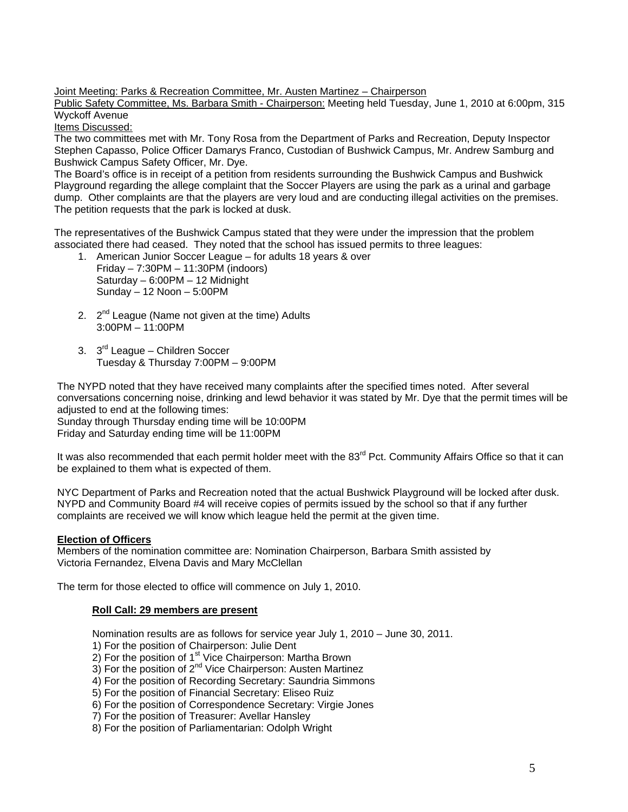Joint Meeting: Parks & Recreation Committee, Mr. Austen Martinez – Chairperson

Public Safety Committee, Ms. Barbara Smith - Chairperson: Meeting held Tuesday, June 1, 2010 at 6:00pm, 315 Wyckoff Avenue

Items Discussed:

The two committees met with Mr. Tony Rosa from the Department of Parks and Recreation, Deputy Inspector Stephen Capasso, Police Officer Damarys Franco, Custodian of Bushwick Campus, Mr. Andrew Samburg and Bushwick Campus Safety Officer, Mr. Dye.

The Board's office is in receipt of a petition from residents surrounding the Bushwick Campus and Bushwick Playground regarding the allege complaint that the Soccer Players are using the park as a urinal and garbage dump. Other complaints are that the players are very loud and are conducting illegal activities on the premises. The petition requests that the park is locked at dusk.

The representatives of the Bushwick Campus stated that they were under the impression that the problem associated there had ceased. They noted that the school has issued permits to three leagues:

- 1. American Junior Soccer League for adults 18 years & over Friday – 7:30PM – 11:30PM (indoors) Saturday – 6:00PM – 12 Midnight Sunday – 12 Noon – 5:00PM
- 2.  $2<sup>nd</sup>$  League (Name not given at the time) Adults 3:00PM – 11:00PM
- 3. 3<sup>rd</sup> League Children Soccer Tuesday & Thursday 7:00PM – 9:00PM

The NYPD noted that they have received many complaints after the specified times noted. After several conversations concerning noise, drinking and lewd behavior it was stated by Mr. Dye that the permit times will be adjusted to end at the following times: Sunday through Thursday ending time will be 10:00PM

Friday and Saturday ending time will be 11:00PM

It was also recommended that each permit holder meet with the 83<sup>rd</sup> Pct. Community Affairs Office so that it can be explained to them what is expected of them.

NYC Department of Parks and Recreation noted that the actual Bushwick Playground will be locked after dusk. NYPD and Community Board #4 will receive copies of permits issued by the school so that if any further complaints are received we will know which league held the permit at the given time.

# **Election of Officers**

Members of the nomination committee are: Nomination Chairperson, Barbara Smith assisted by Victoria Fernandez, Elvena Davis and Mary McClellan

The term for those elected to office will commence on July 1, 2010.

### **Roll Call: 29 members are present**

Nomination results are as follows for service year July 1, 2010 – June 30, 2011.

- 1) For the position of Chairperson: Julie Dent
- $2)$  For the position of 1<sup>st</sup> Vice Chairperson: Martha Brown
- $2$ ) For the position of  $2^{nd}$  Vice Chairperson: Austen Martinez 3) For the position of  $2^{nd}$  Vice Chairperson: Austen Martinez
- 4) For the position of Recording Secretary: Saundria Simmons
- 5) For the position of Financial Secretary: Eliseo Ruiz
- 6) For the position of Correspondence Secretary: Virgie Jones
- 7) For the position of Treasurer: Avellar Hansley
- 8) For the position of Parliamentarian: Odolph Wright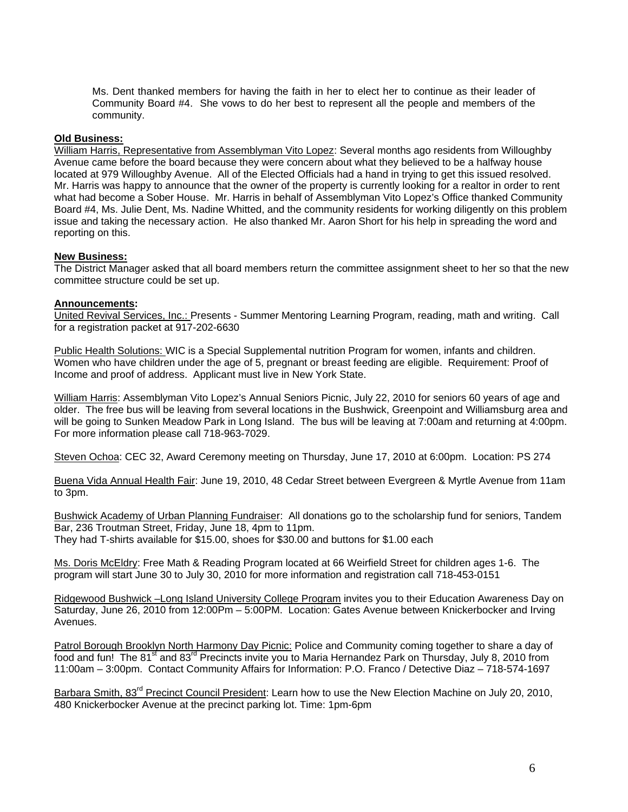Ms. Dent thanked members for having the faith in her to elect her to continue as their leader of Community Board #4. She vows to do her best to represent all the people and members of the community.

### **Old Business:**

William Harris, Representative from Assemblyman Vito Lopez: Several months ago residents from Willoughby Avenue came before the board because they were concern about what they believed to be a halfway house located at 979 Willoughby Avenue. All of the Elected Officials had a hand in trying to get this issued resolved. Mr. Harris was happy to announce that the owner of the property is currently looking for a realtor in order to rent what had become a Sober House. Mr. Harris in behalf of Assemblyman Vito Lopez's Office thanked Community Board #4, Ms. Julie Dent, Ms. Nadine Whitted, and the community residents for working diligently on this problem issue and taking the necessary action. He also thanked Mr. Aaron Short for his help in spreading the word and reporting on this.

### **New Business:**

The District Manager asked that all board members return the committee assignment sheet to her so that the new committee structure could be set up.

### **Announcements:**

United Revival Services, Inc.: Presents - Summer Mentoring Learning Program, reading, math and writing. Call for a registration packet at 917-202-6630

Public Health Solutions: WIC is a Special Supplemental nutrition Program for women, infants and children. Women who have children under the age of 5, pregnant or breast feeding are eligible. Requirement: Proof of Income and proof of address. Applicant must live in New York State.

William Harris: Assemblyman Vito Lopez's Annual Seniors Picnic, July 22, 2010 for seniors 60 years of age and older. The free bus will be leaving from several locations in the Bushwick, Greenpoint and Williamsburg area and will be going to Sunken Meadow Park in Long Island. The bus will be leaving at 7:00am and returning at 4:00pm. For more information please call 718-963-7029.

Steven Ochoa: CEC 32, Award Ceremony meeting on Thursday, June 17, 2010 at 6:00pm. Location: PS 274

Buena Vida Annual Health Fair: June 19, 2010, 48 Cedar Street between Evergreen & Myrtle Avenue from 11am to 3pm.

Bushwick Academy of Urban Planning Fundraiser: All donations go to the scholarship fund for seniors, Tandem Bar, 236 Troutman Street, Friday, June 18, 4pm to 11pm. They had T-shirts available for \$15.00, shoes for \$30.00 and buttons for \$1.00 each

Ms. Doris McEldry: Free Math & Reading Program located at 66 Weirfield Street for children ages 1-6. The program will start June 30 to July 30, 2010 for more information and registration call 718-453-0151

Ridgewood Bushwick –Long Island University College Program invites you to their Education Awareness Day on Saturday, June 26, 2010 from 12:00Pm – 5:00PM. Location: Gates Avenue between Knickerbocker and Irving Avenues.

Patrol Borough Brooklyn North Harmony Day Picnic: Police and Community coming together to share a day of food and fun! The 81<sup>st</sup> and 83<sup>rd</sup> Precincts invite you to Maria Hernandez Park on Thursday, July 8, 2010 from 11:00am – 3:00pm. Contact Community Affairs for Information: P.O. Franco / Detective Diaz – 718-574-1697

Barbara Smith, 83<sup>rd</sup> Precinct Council President: Learn how to use the New Election Machine on July 20, 2010, 480 Knickerbocker Avenue at the precinct parking lot. Time: 1pm-6pm